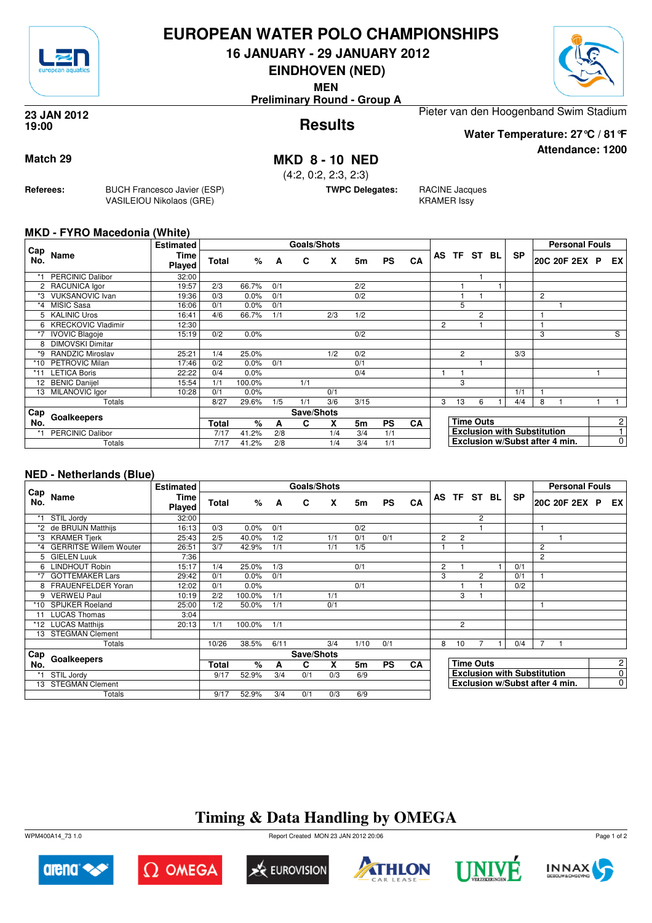

### **EUROPEAN WATER POLO CHAMPIONSHIPS**

**16 JANUARY - 29 JANUARY 2012**

**EINDHOVEN (NED)**

**MEN**

**Preliminary Round - Group A**



**Attendance: 1200**

**Results 23 JAN 2012 19:00**

Pieter van den Hoogenband Swim Stadium

**Water Temperature: 27°C / 81°F**

**Match 29 MKD 8 - 10 NED**

(4:2, 0:2, 2:3, 2:3)

**TWPC Delegates:** RACINE Jacques

KRAMER Issy

**MKD - FYRO Macedonia (White)**

**Referees:** BUCH Francesco Javier (ESP)

VASILEIOU Nikolaos (GRE)

|            |                         | <b>Estimated</b>      |              |        |     | <b>Goals/Shots</b> |     |                |           |    |   |                |                  |    |                                    |                | <b>Personal Fouls</b> |     |
|------------|-------------------------|-----------------------|--------------|--------|-----|--------------------|-----|----------------|-----------|----|---|----------------|------------------|----|------------------------------------|----------------|-----------------------|-----|
| Cap<br>No. | Name                    | Time<br><b>Played</b> | Total        | %      | A   | C                  | X   | 5m             | <b>PS</b> | CA |   |                | AS TF ST         | BL | <b>SP</b>                          |                | 20C 20F 2EX P         | EX. |
| *1         | <b>PERCINIC Dalibor</b> | 32:00                 |              |        |     |                    |     |                |           |    |   |                |                  |    |                                    |                |                       |     |
|            | 2 RACUNICA lgor         | 19:57                 | 2/3          | 66.7%  | 0/1 |                    |     | 2/2            |           |    |   |                |                  |    |                                    |                |                       |     |
| *3         | <b>VUKSANOVIC Ivan</b>  | 19:36                 | 0/3          | 0.0%   | 0/1 |                    |     | 0/2            |           |    |   |                |                  |    |                                    | $\overline{c}$ |                       |     |
| $*_{4}$    | MISIC Sasa              | 16:06                 | 0/1          | 0.0%   | 0/1 |                    |     |                |           |    |   | 5              |                  |    |                                    |                |                       |     |
| 5          | <b>KALINIC Uros</b>     | 16:41                 | 4/6          | 66.7%  | 1/1 |                    | 2/3 | 1/2            |           |    |   |                | $\overline{2}$   |    |                                    |                |                       |     |
|            | 6 KRECKOVIC Vladimir    | 12:30                 |              |        |     |                    |     |                |           |    | 2 |                |                  |    |                                    |                |                       |     |
| $*7$       | <b>IVOVIC Blagoje</b>   | 15:19                 | 0/2          | 0.0%   |     |                    |     | 0/2            |           |    |   |                |                  |    |                                    | 3              |                       | S   |
| 8          | <b>DIMOVSKI Dimitar</b> |                       |              |        |     |                    |     |                |           |    |   |                |                  |    |                                    |                |                       |     |
| *9         | <b>RANDZIC Miroslav</b> | 25:21                 | 1/4          | 25.0%  |     |                    | 1/2 | 0/2            |           |    |   | $\overline{2}$ |                  |    | 3/3                                |                |                       |     |
| $*10$      | <b>PETROVIC Milan</b>   | 17:46                 | 0/2          | 0.0%   | 0/1 |                    |     | 0/1            |           |    |   |                |                  |    |                                    |                |                       |     |
| $*11$      | <b>LETICA Boris</b>     | 22:22                 | 0/4          | 0.0%   |     |                    |     | 0/4            |           |    |   |                |                  |    |                                    |                |                       |     |
| 12         | <b>BENIC Danijel</b>    | 15:54                 | 1/1          | 100.0% |     | 1/1                |     |                |           |    |   | 3              |                  |    |                                    |                |                       |     |
| 13         | MILANOVIC Igor          | 10:28                 | 0/1          | 0.0%   |     |                    | 0/1 |                |           |    |   |                |                  |    | 1/1                                |                |                       |     |
|            | Totals                  |                       | 8/27         | 29.6%  | 1/5 | 1/1                | 3/6 | 3/15           |           |    | 3 | 13             | 6                |    | 4/4                                | 8              |                       |     |
| Cap        |                         |                       |              |        |     | Save/Shots         |     |                |           |    |   |                |                  |    |                                    |                |                       |     |
| No.        | Goalkeepers             |                       | <b>Total</b> | %      | A   | C                  | X   | 5 <sub>m</sub> | <b>PS</b> | CA |   |                | <b>Time Outs</b> |    |                                    |                |                       | 2   |
| $*1$       | <b>PERCINIC Dalibor</b> |                       | 7/17         | 41.2%  | 2/8 |                    | 1/4 | 3/4            | 1/1       |    |   |                |                  |    | <b>Exclusion with Substitution</b> |                |                       |     |
|            | Totals                  |                       | 7/17         | 41.2%  | 2/8 |                    | 1/4 | 3/4            | 1/1       |    |   |                |                  |    | Exclusion w/Subst after 4 min.     |                |                       | 0   |

#### **NED - Netherlands (Blue)**

|            |                               | <b>Estimated</b> |       |        |      | Goals/Shots |     |      |           |           |    |                |                  |    |                                    |                | <b>Personal Fouls</b> |                |
|------------|-------------------------------|------------------|-------|--------|------|-------------|-----|------|-----------|-----------|----|----------------|------------------|----|------------------------------------|----------------|-----------------------|----------------|
| Cap<br>No. | Name                          | Time<br>Played   | Total | %      | A    | C           | X   | 5m   | <b>PS</b> | CA        | AS |                | TF ST            | BL | <b>SP</b>                          |                | 20C 20F 2EX P         | EX             |
|            | STIL Jordy                    | 32:00            |       |        |      |             |     |      |           |           |    |                | 2                |    |                                    |                |                       |                |
| *2         | de BRUIJN Matthijs            | 16:13            | 0/3   | 0.0%   | 0/1  |             |     | 0/2  |           |           |    |                |                  |    |                                    |                |                       |                |
| *3         | <b>KRAMER Tjerk</b>           | 25:43            | 2/5   | 40.0%  | 1/2  |             | 1/1 | 0/1  | 0/1       |           | 2  | $\overline{2}$ |                  |    |                                    |                |                       |                |
| *4         | <b>GERRITSE Willem Wouter</b> | 26:51            | 3/7   | 42.9%  | 1/1  |             | 1/1 | 1/5  |           |           |    |                |                  |    |                                    | 2              |                       |                |
| 5.         | <b>GIELEN Luuk</b>            | 7:36             |       |        |      |             |     |      |           |           |    |                |                  |    |                                    | $\overline{c}$ |                       |                |
| 6          | <b>LINDHOUT Robin</b>         | 15:17            | 1/4   | 25.0%  | 1/3  |             |     | 0/1  |           |           | 2  |                |                  |    | 0/1                                |                |                       |                |
| *7         | <b>GOTTEMAKER Lars</b>        | 29:42            | 0/1   | 0.0%   | 0/1  |             |     |      |           |           | 3  |                | $\overline{2}$   |    | 0/1                                |                |                       |                |
|            | FRAUENFELDER Yoran            | 12:02            | 0/1   | 0.0%   |      |             |     | 0/1  |           |           |    |                |                  |    | 0/2                                |                |                       |                |
| 9          | <b>VERWEIJ Paul</b>           | 10:19            | 2/2   | 100.0% | 1/1  |             | 1/1 |      |           |           |    | 3              |                  |    |                                    |                |                       |                |
| *10        | <b>SPIJKER Roeland</b>        | 25:00            | 1/2   | 50.0%  | 1/1  |             | 0/1 |      |           |           |    |                |                  |    |                                    |                |                       |                |
|            | <b>LUCAS Thomas</b>           | 3:04             |       |        |      |             |     |      |           |           |    |                |                  |    |                                    |                |                       |                |
|            | *12 LUCAS Matthijs            | 20:13            | 1/1   | 100.0% | 1/1  |             |     |      |           |           |    | $\overline{2}$ |                  |    |                                    |                |                       |                |
| 13         | <b>STEGMAN Clement</b>        |                  |       |        |      |             |     |      |           |           |    |                |                  |    |                                    |                |                       |                |
|            | Totals                        |                  | 10/26 | 38.5%  | 6/11 |             | 3/4 | 1/10 | 0/1       |           | 8  | 10             |                  |    | 0/4                                | $\overline{7}$ |                       |                |
| Cap        |                               |                  |       |        |      | Save/Shots  |     |      |           |           |    |                |                  |    |                                    |                |                       |                |
| No.        | Goalkeepers                   |                  | Total | %      | A    | C           | X   | 5m   | <b>PS</b> | <b>CA</b> |    |                | <b>Time Outs</b> |    |                                    |                |                       | $\overline{2}$ |
|            | STIL Jordy                    |                  | 9/17  | 52.9%  | 3/4  | 0/1         | 0/3 | 6/9  |           |           |    |                |                  |    | <b>Exclusion with Substitution</b> |                |                       | 0              |
| 13         | <b>STEGMAN Clement</b>        |                  |       |        |      |             |     |      |           |           |    |                |                  |    | Exclusion w/Subst after 4 min.     |                |                       | $\mathbf 0$    |
|            | Totals                        |                  | 9/17  | 52.9%  | 3/4  | 0/1         | 0/3 | 6/9  |           |           |    |                |                  |    |                                    |                |                       |                |

## **Timing & Data Handling by OMEGA**

WPM400A14\_73 1.0 Report Created MON 23 JAN 2012 20:06













Page 1 of 2